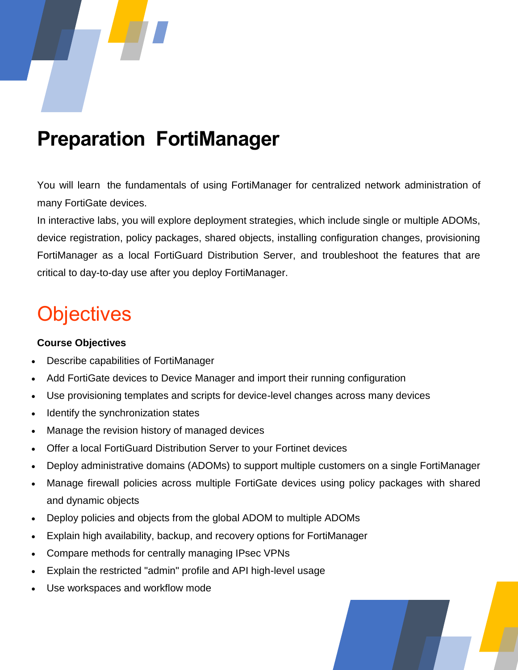

# **Preparation FortiManager**

You will learn the fundamentals of using FortiManager for centralized network administration of many FortiGate devices.

In interactive labs, you will explore deployment strategies, which include single or multiple ADOMs, device registration, policy packages, shared objects, installing configuration changes, provisioning FortiManager as a local FortiGuard Distribution Server, and troubleshoot the features that are critical to day-to-day use after you deploy FortiManager.

# **Objectives**

### **Course Objectives**

- Describe capabilities of FortiManager
- Add FortiGate devices to Device Manager and import their running configuration
- Use provisioning templates and scripts for device-level changes across many devices
- Identify the synchronization states
- Manage the revision history of managed devices
- Offer a local FortiGuard Distribution Server to your Fortinet devices
- Deploy administrative domains (ADOMs) to support multiple customers on a single FortiManager
- Manage firewall policies across multiple FortiGate devices using policy packages with shared and dynamic objects
- Deploy policies and objects from the global ADOM to multiple ADOMs
- Explain high availability, backup, and recovery options for FortiManager
- Compare methods for centrally managing IPsec VPNs
- Explain the restricted "admin" profile and API high-level usage
- Use workspaces and workflow mode